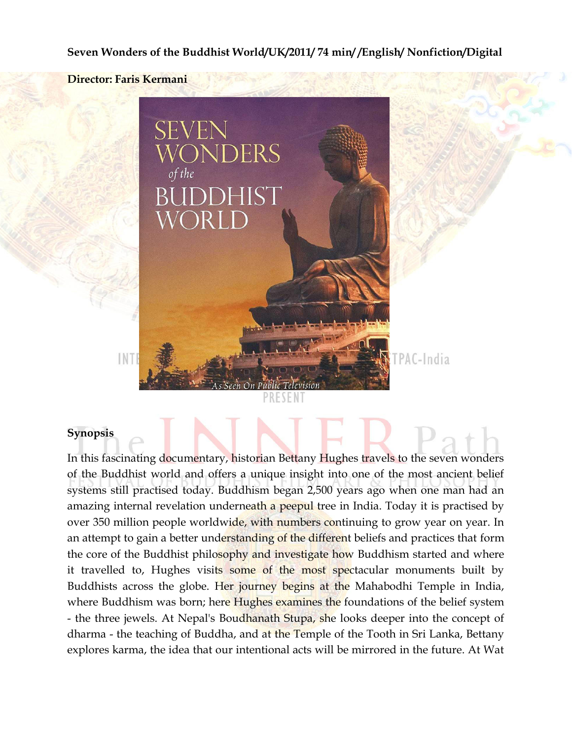#### **Seven Wonders of the Buddhist World/UK/2011/ 74 min/ /English/ Nonfiction/Digital**





### **Synopsis**

In this fascinating documentary, historian Bettany Hughes travels to the seven wonders of the Buddhist world and offers a unique insight into one of the most ancient belief systems still practised today. Buddhism began 2,500 years ago when one man had an amazing internal revelation underneath a peepul tree in India. Today it is practised by over 350 million people worldwide, with numbers continuing to grow year on year. In an attempt to gain a better understanding of the different beliefs and practices that form the core of the Buddhist philosophy and investigate how Buddhism started and where it travelled to, Hughes visits some of the most spectacular monuments built by Buddhists across the globe. Her journey begins at the Mahabodhi Temple in India, where Buddhism was born; here Hughes examines the foundations of the belief system - the three jewels. At Nepal's Boudhanath Stupa, she looks deeper into the concept of dharma - the teaching of Buddha, and at the Temple of the Tooth in Sri Lanka, Bettany explores karma, the idea that our intentional acts will be mirrored in the future. At Wat